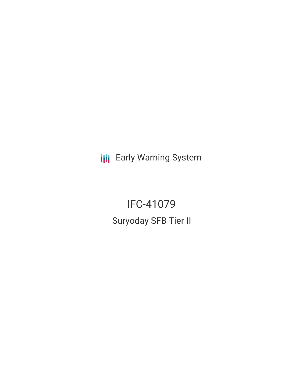**III** Early Warning System

IFC-41079 Suryoday SFB Tier II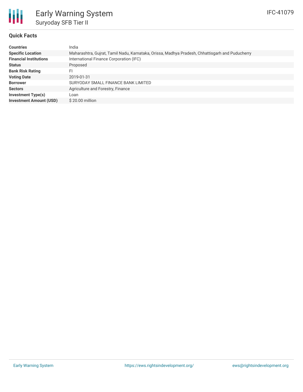

## **Quick Facts**

| <b>Countries</b>               | India                                                                                           |
|--------------------------------|-------------------------------------------------------------------------------------------------|
| <b>Specific Location</b>       | Maharashtra, Gujrat, Tamil Nadu, Karnataka, Orissa, Madhya Pradesh, Chhattisgarh and Puducherry |
| <b>Financial Institutions</b>  | International Finance Corporation (IFC)                                                         |
| <b>Status</b>                  | Proposed                                                                                        |
| <b>Bank Risk Rating</b>        | FI                                                                                              |
| <b>Voting Date</b>             | 2019-01-31                                                                                      |
| <b>Borrower</b>                | SURYODAY SMALL FINANCE BANK LIMITED                                                             |
| <b>Sectors</b>                 | Agriculture and Forestry, Finance                                                               |
| <b>Investment Type(s)</b>      | Loan                                                                                            |
| <b>Investment Amount (USD)</b> | $$20.00$ million                                                                                |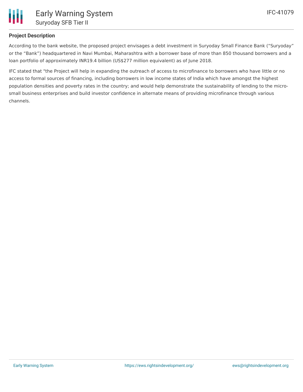

# **Project Description**

According to the bank website, the proposed project envisages a debt investment in Suryoday Small Finance Bank ("Suryoday" or the "Bank") headquartered in Navi Mumbai, Maharashtra with a borrower base of more than 850 thousand borrowers and a loan portfolio of approximately INR19.4 billion (US\$277 million equivalent) as of June 2018.

IFC stated that "the Project will help in expanding the outreach of access to microfinance to borrowers who have little or no access to formal sources of financing, including borrowers in low income states of India which have amongst the highest population densities and poverty rates in the country; and would help demonstrate the sustainability of lending to the microsmall business enterprises and build investor confidence in alternate means of providing microfinance through various channels.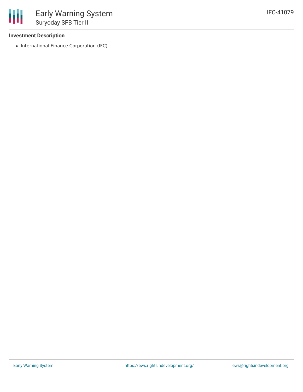### **Investment Description**

冊

• International Finance Corporation (IFC)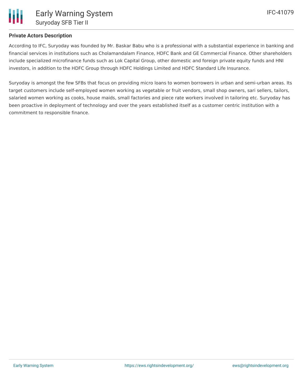

## **Private Actors Description**

According to IFC, Suryoday was founded by Mr. Baskar Babu who is a professional with a substantial experience in banking and financial services in institutions such as Cholamandalam Finance, HDFC Bank and GE Commercial Finance. Other shareholders include specialized microfinance funds such as Lok Capital Group, other domestic and foreign private equity funds and HNI investors, in addition to the HDFC Group through HDFC Holdings Limited and HDFC Standard Life Insurance.

Suryoday is amongst the few SFBs that focus on providing micro loans to women borrowers in urban and semi-urban areas. Its target customers include self-employed women working as vegetable or fruit vendors, small shop owners, sari sellers, tailors, salaried women working as cooks, house maids, small factories and piece rate workers involved in tailoring etc. Suryoday has been proactive in deployment of technology and over the years established itself as a customer centric institution with a commitment to responsible finance.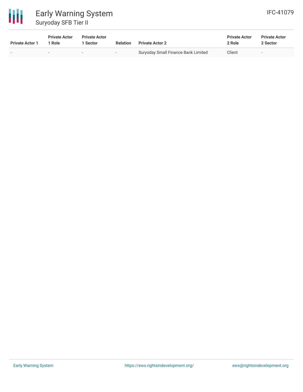

# Early Warning System Suryoday SFB Tier II

| <b>Private Actor 1</b> | <b>Private Actor</b><br>1 Role | <b>Private Actor</b><br>1 Sector | <b>Relation</b> | <b>Private Actor 2</b>              | <b>Private Actor</b><br>2 Role | <b>Private Actor</b><br>2 Sector |  |
|------------------------|--------------------------------|----------------------------------|-----------------|-------------------------------------|--------------------------------|----------------------------------|--|
| -                      | $\sim$                         | $\overline{\phantom{a}}$         |                 | Suryoday Small Finance Bank Limited | Client                         |                                  |  |